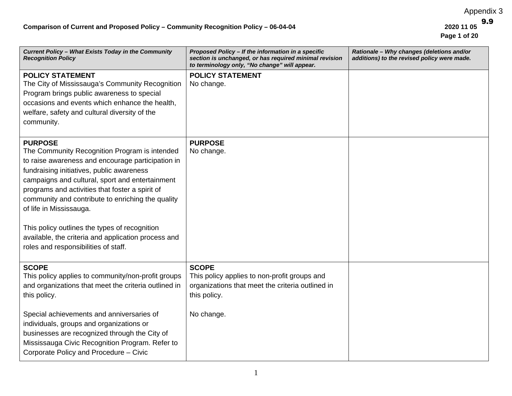Appendix 3

 **Page 1 of 20**  9.9

| Current Policy - What Exists Today in the Community<br><b>Recognition Policy</b>                                                                                                                                                                                                                                                                                                                                                                                                                        | Proposed Policy - If the information in a specific<br>section is unchanged, or has required minimal revision<br>to terminology only, "No change" will appear. | Rationale - Why changes (deletions and/or<br>additions) to the revised policy were made. |
|---------------------------------------------------------------------------------------------------------------------------------------------------------------------------------------------------------------------------------------------------------------------------------------------------------------------------------------------------------------------------------------------------------------------------------------------------------------------------------------------------------|---------------------------------------------------------------------------------------------------------------------------------------------------------------|------------------------------------------------------------------------------------------|
| <b>POLICY STATEMENT</b><br>The City of Mississauga's Community Recognition<br>Program brings public awareness to special<br>occasions and events which enhance the health,<br>welfare, safety and cultural diversity of the<br>community.                                                                                                                                                                                                                                                               | <b>POLICY STATEMENT</b><br>No change.                                                                                                                         |                                                                                          |
| <b>PURPOSE</b><br>The Community Recognition Program is intended<br>to raise awareness and encourage participation in<br>fundraising initiatives, public awareness<br>campaigns and cultural, sport and entertainment<br>programs and activities that foster a spirit of<br>community and contribute to enriching the quality<br>of life in Mississauga.<br>This policy outlines the types of recognition<br>available, the criteria and application process and<br>roles and responsibilities of staff. | <b>PURPOSE</b><br>No change.                                                                                                                                  |                                                                                          |
| <b>SCOPE</b><br>This policy applies to community/non-profit groups<br>and organizations that meet the criteria outlined in<br>this policy.<br>Special achievements and anniversaries of                                                                                                                                                                                                                                                                                                                 | <b>SCOPE</b><br>This policy applies to non-profit groups and<br>organizations that meet the criteria outlined in<br>this policy.<br>No change.                |                                                                                          |
| individuals, groups and organizations or<br>businesses are recognized through the City of<br>Mississauga Civic Recognition Program. Refer to<br>Corporate Policy and Procedure - Civic                                                                                                                                                                                                                                                                                                                  |                                                                                                                                                               |                                                                                          |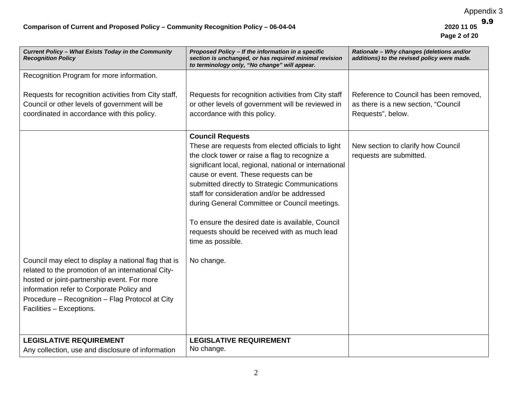| Current Policy - What Exists Today in the Community<br><b>Recognition Policy</b>                                                                                                                                                                                                      | Proposed Policy - If the information in a specific<br>section is unchanged, or has required minimal revision<br>to terminology only, "No change" will appear.                                                                                                                                                                                                                                                                                                                                                                | Rationale - Why changes (deletions and/or<br>additions) to the revised policy were made.           |
|---------------------------------------------------------------------------------------------------------------------------------------------------------------------------------------------------------------------------------------------------------------------------------------|------------------------------------------------------------------------------------------------------------------------------------------------------------------------------------------------------------------------------------------------------------------------------------------------------------------------------------------------------------------------------------------------------------------------------------------------------------------------------------------------------------------------------|----------------------------------------------------------------------------------------------------|
| Recognition Program for more information.                                                                                                                                                                                                                                             |                                                                                                                                                                                                                                                                                                                                                                                                                                                                                                                              |                                                                                                    |
| Requests for recognition activities from City staff,<br>Council or other levels of government will be<br>coordinated in accordance with this policy.                                                                                                                                  | Requests for recognition activities from City staff<br>or other levels of government will be reviewed in<br>accordance with this policy.                                                                                                                                                                                                                                                                                                                                                                                     | Reference to Council has been removed.<br>as there is a new section, "Council<br>Requests", below. |
| Council may elect to display a national flag that is<br>related to the promotion of an international City-<br>hosted or joint-partnership event. For more<br>information refer to Corporate Policy and<br>Procedure - Recognition - Flag Protocol at City<br>Facilities - Exceptions. | <b>Council Requests</b><br>These are requests from elected officials to light<br>the clock tower or raise a flag to recognize a<br>significant local, regional, national or international<br>cause or event. These requests can be<br>submitted directly to Strategic Communications<br>staff for consideration and/or be addressed<br>during General Committee or Council meetings.<br>To ensure the desired date is available, Council<br>requests should be received with as much lead<br>time as possible.<br>No change. | New section to clarify how Council<br>requests are submitted.                                      |
| <b>LEGISLATIVE REQUIREMENT</b><br>Any collection, use and disclosure of information                                                                                                                                                                                                   | <b>LEGISLATIVE REQUIREMENT</b><br>No change.                                                                                                                                                                                                                                                                                                                                                                                                                                                                                 |                                                                                                    |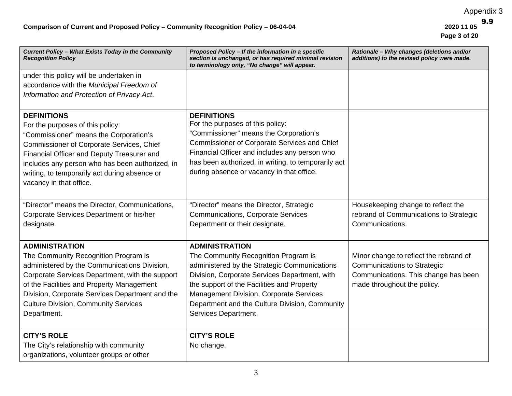| Current Policy - What Exists Today in the Community<br><b>Recognition Policy</b> | Proposed Policy - If the information in a specific<br>section is unchanged, or has required minimal revision<br>to terminology only, "No change" will appear. | Rationale - Why changes (deletions and/or<br>additions) to the revised policy were made. |
|----------------------------------------------------------------------------------|---------------------------------------------------------------------------------------------------------------------------------------------------------------|------------------------------------------------------------------------------------------|
| under this policy will be undertaken in                                          |                                                                                                                                                               |                                                                                          |
| accordance with the Municipal Freedom of                                         |                                                                                                                                                               |                                                                                          |
| Information and Protection of Privacy Act.                                       |                                                                                                                                                               |                                                                                          |
| <b>DEFINITIONS</b>                                                               | <b>DEFINITIONS</b><br>For the purposes of this policy:                                                                                                        |                                                                                          |
| For the purposes of this policy:<br>"Commissioner" means the Corporation's       | "Commissioner" means the Corporation's                                                                                                                        |                                                                                          |
| Commissioner of Corporate Services, Chief                                        | Commissioner of Corporate Services and Chief                                                                                                                  |                                                                                          |
| Financial Officer and Deputy Treasurer and                                       | Financial Officer and includes any person who                                                                                                                 |                                                                                          |
| includes any person who has been authorized, in                                  | has been authorized, in writing, to temporarily act                                                                                                           |                                                                                          |
| writing, to temporarily act during absence or                                    | during absence or vacancy in that office.                                                                                                                     |                                                                                          |
| vacancy in that office.                                                          |                                                                                                                                                               |                                                                                          |
|                                                                                  |                                                                                                                                                               |                                                                                          |
| "Director" means the Director, Communications,                                   | "Director" means the Director, Strategic                                                                                                                      | Housekeeping change to reflect the                                                       |
| Corporate Services Department or his/her                                         | <b>Communications, Corporate Services</b>                                                                                                                     | rebrand of Communications to Strategic                                                   |
| designate.                                                                       | Department or their designate.                                                                                                                                | Communications.                                                                          |
| <b>ADMINISTRATION</b>                                                            | <b>ADMINISTRATION</b>                                                                                                                                         |                                                                                          |
| The Community Recognition Program is                                             | The Community Recognition Program is                                                                                                                          | Minor change to reflect the rebrand of                                                   |
| administered by the Communications Division,                                     | administered by the Strategic Communications                                                                                                                  | <b>Communications to Strategic</b>                                                       |
| Corporate Services Department, with the support                                  | Division, Corporate Services Department, with                                                                                                                 | Communications. This change has been                                                     |
| of the Facilities and Property Management                                        | the support of the Facilities and Property                                                                                                                    | made throughout the policy.                                                              |
| Division, Corporate Services Department and the                                  | Management Division, Corporate Services                                                                                                                       |                                                                                          |
| <b>Culture Division, Community Services</b>                                      | Department and the Culture Division, Community                                                                                                                |                                                                                          |
| Department.                                                                      | Services Department.                                                                                                                                          |                                                                                          |
| <b>CITY'S ROLE</b>                                                               | <b>CITY'S ROLE</b>                                                                                                                                            |                                                                                          |
| The City's relationship with community                                           | No change.                                                                                                                                                    |                                                                                          |
| organizations, volunteer groups or other                                         |                                                                                                                                                               |                                                                                          |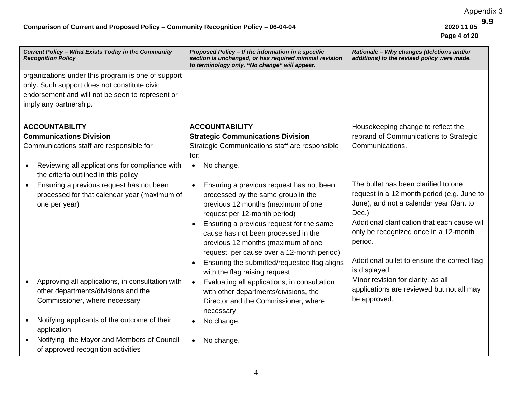| Current Policy - What Exists Today in the Community<br><b>Recognition Policy</b>                                                      | Proposed Policy - If the information in a specific<br>section is unchanged, or has required minimal revision<br>to terminology only, "No change" will appear.                                                                                                                                                                                                                                               | Rationale - Why changes (deletions and/or<br>additions) to the revised policy were made.                                                                                                                                                                                                                     |
|---------------------------------------------------------------------------------------------------------------------------------------|-------------------------------------------------------------------------------------------------------------------------------------------------------------------------------------------------------------------------------------------------------------------------------------------------------------------------------------------------------------------------------------------------------------|--------------------------------------------------------------------------------------------------------------------------------------------------------------------------------------------------------------------------------------------------------------------------------------------------------------|
| organizations under this program is one of support<br>only. Such support does not constitute civic                                    |                                                                                                                                                                                                                                                                                                                                                                                                             |                                                                                                                                                                                                                                                                                                              |
| endorsement and will not be seen to represent or                                                                                      |                                                                                                                                                                                                                                                                                                                                                                                                             |                                                                                                                                                                                                                                                                                                              |
| imply any partnership.                                                                                                                |                                                                                                                                                                                                                                                                                                                                                                                                             |                                                                                                                                                                                                                                                                                                              |
|                                                                                                                                       |                                                                                                                                                                                                                                                                                                                                                                                                             |                                                                                                                                                                                                                                                                                                              |
| <b>ACCOUNTABILITY</b>                                                                                                                 | <b>ACCOUNTABILITY</b>                                                                                                                                                                                                                                                                                                                                                                                       | Housekeeping change to reflect the                                                                                                                                                                                                                                                                           |
| <b>Communications Division</b>                                                                                                        | <b>Strategic Communications Division</b>                                                                                                                                                                                                                                                                                                                                                                    | rebrand of Communications to Strategic                                                                                                                                                                                                                                                                       |
| Communications staff are responsible for                                                                                              | Strategic Communications staff are responsible                                                                                                                                                                                                                                                                                                                                                              | Communications.                                                                                                                                                                                                                                                                                              |
|                                                                                                                                       | for:                                                                                                                                                                                                                                                                                                                                                                                                        |                                                                                                                                                                                                                                                                                                              |
| Reviewing all applications for compliance with<br>$\bullet$<br>the criteria outlined in this policy                                   | No change.<br>$\bullet$                                                                                                                                                                                                                                                                                                                                                                                     |                                                                                                                                                                                                                                                                                                              |
| Ensuring a previous request has not been<br>$\bullet$<br>processed for that calendar year (maximum of<br>one per year)                | Ensuring a previous request has not been<br>processed by the same group in the<br>previous 12 months (maximum of one<br>request per 12-month period)<br>Ensuring a previous request for the same<br>cause has not been processed in the<br>previous 12 months (maximum of one<br>request per cause over a 12-month period)<br>Ensuring the submitted/requested flag aligns<br>with the flag raising request | The bullet has been clarified to one<br>request in a 12 month period (e.g. June to<br>June), and not a calendar year (Jan. to<br>Dec.)<br>Additional clarification that each cause will<br>only be recognized once in a 12-month<br>period.<br>Additional bullet to ensure the correct flag<br>is displayed. |
| Approving all applications, in consultation with<br>$\bullet$<br>other departments/divisions and the<br>Commissioner, where necessary | Evaluating all applications, in consultation<br>with other departments/divisions, the<br>Director and the Commissioner, where<br>necessary                                                                                                                                                                                                                                                                  | Minor revision for clarity, as all<br>applications are reviewed but not all may<br>be approved.                                                                                                                                                                                                              |
| Notifying applicants of the outcome of their<br>application                                                                           | No change.                                                                                                                                                                                                                                                                                                                                                                                                  |                                                                                                                                                                                                                                                                                                              |
| Notifying the Mayor and Members of Council<br>$\bullet$<br>of approved recognition activities                                         | No change.<br>$\bullet$                                                                                                                                                                                                                                                                                                                                                                                     |                                                                                                                                                                                                                                                                                                              |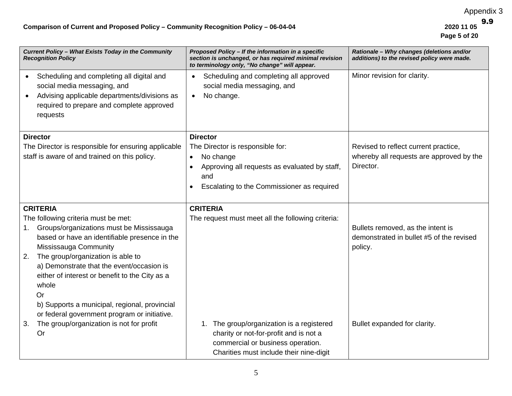| Current Policy - What Exists Today in the Community<br><b>Recognition Policy</b>                                                                                                                                                                                                                                                      | Proposed Policy - If the information in a specific<br>section is unchanged, or has required minimal revision<br>to terminology only, "No change" will appear.                                    | Rationale - Why changes (deletions and/or<br>additions) to the revised policy were made.      |
|---------------------------------------------------------------------------------------------------------------------------------------------------------------------------------------------------------------------------------------------------------------------------------------------------------------------------------------|--------------------------------------------------------------------------------------------------------------------------------------------------------------------------------------------------|-----------------------------------------------------------------------------------------------|
| Scheduling and completing all digital and<br>social media messaging, and<br>Advising applicable departments/divisions as<br>$\bullet$<br>required to prepare and complete approved<br>requests                                                                                                                                        | Scheduling and completing all approved<br>social media messaging, and<br>No change.<br>$\bullet$                                                                                                 | Minor revision for clarity.                                                                   |
| <b>Director</b><br>The Director is responsible for ensuring applicable<br>staff is aware of and trained on this policy.                                                                                                                                                                                                               | <b>Director</b><br>The Director is responsible for:<br>No change<br>$\bullet$<br>Approving all requests as evaluated by staff,<br>and<br>Escalating to the Commissioner as required<br>$\bullet$ | Revised to reflect current practice,<br>whereby all requests are approved by the<br>Director. |
| <b>CRITERIA</b><br>The following criteria must be met:<br>Groups/organizations must be Mississauga<br>1.<br>based or have an identifiable presence in the<br>Mississauga Community<br>The group/organization is able to<br>2.<br>a) Demonstrate that the event/occasion is<br>either of interest or benefit to the City as a<br>whole | <b>CRITERIA</b><br>The request must meet all the following criteria:                                                                                                                             | Bullets removed, as the intent is<br>demonstrated in bullet #5 of the revised<br>policy.      |
| <b>Or</b><br>b) Supports a municipal, regional, provincial<br>or federal government program or initiative.<br>The group/organization is not for profit<br>3.<br>Or                                                                                                                                                                    | The group/organization is a registered<br>1.<br>charity or not-for-profit and is not a<br>commercial or business operation.<br>Charities must include their nine-digit                           | Bullet expanded for clarity.                                                                  |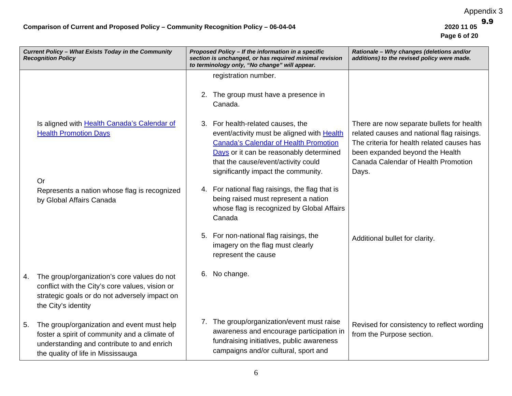| Current Policy - What Exists Today in the Community<br><b>Recognition Policy</b> |                                                                                                                                                                                 | Proposed Policy - If the information in a specific<br>section is unchanged, or has required minimal revision<br>to terminology only, "No change" will appear. |                                                                                                                                                                                                                                                       | Rationale - Why changes (deletions and/or<br>additions) to the revised policy were made.                                                                                                                                 |  |
|----------------------------------------------------------------------------------|---------------------------------------------------------------------------------------------------------------------------------------------------------------------------------|---------------------------------------------------------------------------------------------------------------------------------------------------------------|-------------------------------------------------------------------------------------------------------------------------------------------------------------------------------------------------------------------------------------------------------|--------------------------------------------------------------------------------------------------------------------------------------------------------------------------------------------------------------------------|--|
|                                                                                  |                                                                                                                                                                                 | 2.                                                                                                                                                            | registration number.<br>The group must have a presence in<br>Canada.                                                                                                                                                                                  |                                                                                                                                                                                                                          |  |
|                                                                                  | Is aligned with Health Canada's Calendar of<br><b>Health Promotion Days</b><br>Or                                                                                               | 3.                                                                                                                                                            | For health-related causes, the<br>event/activity must be aligned with Health<br><b>Canada's Calendar of Health Promotion</b><br>Days or it can be reasonably determined<br>that the cause/event/activity could<br>significantly impact the community. | There are now separate bullets for health<br>related causes and national flag raisings.<br>The criteria for health related causes has<br>been expanded beyond the Health<br>Canada Calendar of Health Promotion<br>Days. |  |
|                                                                                  | Represents a nation whose flag is recognized<br>by Global Affairs Canada                                                                                                        |                                                                                                                                                               | 4. For national flag raisings, the flag that is<br>being raised must represent a nation<br>whose flag is recognized by Global Affairs<br>Canada                                                                                                       |                                                                                                                                                                                                                          |  |
|                                                                                  |                                                                                                                                                                                 |                                                                                                                                                               | 5. For non-national flag raisings, the<br>imagery on the flag must clearly<br>represent the cause                                                                                                                                                     | Additional bullet for clarity.                                                                                                                                                                                           |  |
| 4.                                                                               | The group/organization's core values do not<br>conflict with the City's core values, vision or<br>strategic goals or do not adversely impact on<br>the City's identity          | 6.                                                                                                                                                            | No change.                                                                                                                                                                                                                                            |                                                                                                                                                                                                                          |  |
| 5.                                                                               | The group/organization and event must help<br>foster a spirit of community and a climate of<br>understanding and contribute to and enrich<br>the quality of life in Mississauga |                                                                                                                                                               | 7. The group/organization/event must raise<br>awareness and encourage participation in<br>fundraising initiatives, public awareness<br>campaigns and/or cultural, sport and                                                                           | Revised for consistency to reflect wording<br>from the Purpose section.                                                                                                                                                  |  |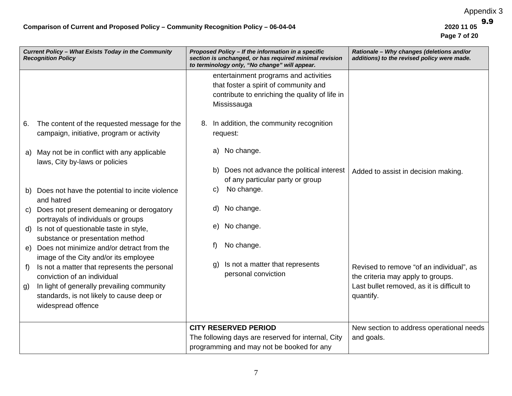|    | Current Policy - What Exists Today in the Community<br><b>Recognition Policy</b>          | Proposed Policy - If the information in a specific<br>Rationale - Why changes (deletions and/or<br>section is unchanged, or has required minimal revision<br>additions) to the revised policy were made.<br>to terminology only, "No change" will appear. |  |
|----|-------------------------------------------------------------------------------------------|-----------------------------------------------------------------------------------------------------------------------------------------------------------------------------------------------------------------------------------------------------------|--|
|    |                                                                                           | entertainment programs and activities                                                                                                                                                                                                                     |  |
|    |                                                                                           | that foster a spirit of community and                                                                                                                                                                                                                     |  |
|    |                                                                                           | contribute to enriching the quality of life in                                                                                                                                                                                                            |  |
|    |                                                                                           | Mississauga                                                                                                                                                                                                                                               |  |
| 6. | The content of the requested message for the<br>campaign, initiative, program or activity | In addition, the community recognition<br>8.<br>request:                                                                                                                                                                                                  |  |
| a) | May not be in conflict with any applicable<br>laws, City by-laws or policies              | No change.<br>a)                                                                                                                                                                                                                                          |  |
|    |                                                                                           | Does not advance the political interest<br>b).<br>Added to assist in decision making.                                                                                                                                                                     |  |
|    |                                                                                           | of any particular party or group                                                                                                                                                                                                                          |  |
| b) | Does not have the potential to incite violence<br>and hatred                              | No change.<br>C)                                                                                                                                                                                                                                          |  |
| C) | Does not present demeaning or derogatory<br>portrayals of individuals or groups           | No change.<br>d)                                                                                                                                                                                                                                          |  |
| d) | Is not of questionable taste in style,                                                    | No change.<br>e)                                                                                                                                                                                                                                          |  |
|    | substance or presentation method                                                          | No change.<br>f)                                                                                                                                                                                                                                          |  |
| e) | Does not minimize and/or detract from the<br>image of the City and/or its employee        |                                                                                                                                                                                                                                                           |  |
| f) | Is not a matter that represents the personal<br>conviction of an individual               | Is not a matter that represents<br>g)<br>Revised to remove "of an individual", as<br>personal conviction<br>the criteria may apply to groups.                                                                                                             |  |
|    | In light of generally prevailing community                                                | Last bullet removed, as it is difficult to                                                                                                                                                                                                                |  |
| g) | standards, is not likely to cause deep or                                                 | quantify.                                                                                                                                                                                                                                                 |  |
|    | widespread offence                                                                        |                                                                                                                                                                                                                                                           |  |
|    |                                                                                           |                                                                                                                                                                                                                                                           |  |
|    |                                                                                           | <b>CITY RESERVED PERIOD</b><br>New section to address operational needs                                                                                                                                                                                   |  |
|    |                                                                                           | The following days are reserved for internal, City<br>and goals.                                                                                                                                                                                          |  |
|    |                                                                                           | programming and may not be booked for any                                                                                                                                                                                                                 |  |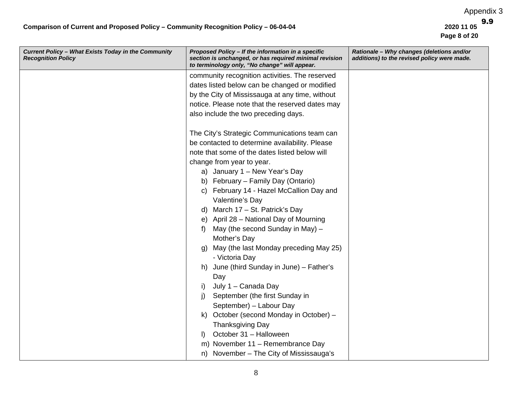| Current Policy - What Exists Today in the Community<br><b>Recognition Policy</b> | Proposed Policy - If the information in a specific<br>section is unchanged, or has required minimal revision<br>to terminology only, "No change" will appear. | Rationale - Why changes (deletions and/or<br>additions) to the revised policy were made. |
|----------------------------------------------------------------------------------|---------------------------------------------------------------------------------------------------------------------------------------------------------------|------------------------------------------------------------------------------------------|
|                                                                                  | community recognition activities. The reserved                                                                                                                |                                                                                          |
|                                                                                  | dates listed below can be changed or modified                                                                                                                 |                                                                                          |
|                                                                                  | by the City of Mississauga at any time, without                                                                                                               |                                                                                          |
|                                                                                  | notice. Please note that the reserved dates may                                                                                                               |                                                                                          |
|                                                                                  | also include the two preceding days.                                                                                                                          |                                                                                          |
|                                                                                  | The City's Strategic Communications team can                                                                                                                  |                                                                                          |
|                                                                                  | be contacted to determine availability. Please                                                                                                                |                                                                                          |
|                                                                                  | note that some of the dates listed below will                                                                                                                 |                                                                                          |
|                                                                                  | change from year to year.                                                                                                                                     |                                                                                          |
|                                                                                  | a) January 1 - New Year's Day                                                                                                                                 |                                                                                          |
|                                                                                  | b) February - Family Day (Ontario)                                                                                                                            |                                                                                          |
|                                                                                  | February 14 - Hazel McCallion Day and<br>C)                                                                                                                   |                                                                                          |
|                                                                                  | Valentine's Day                                                                                                                                               |                                                                                          |
|                                                                                  | d) March 17 - St. Patrick's Day                                                                                                                               |                                                                                          |
|                                                                                  | e) April 28 – National Day of Mourning                                                                                                                        |                                                                                          |
|                                                                                  | May (the second Sunday in May) -<br>f)                                                                                                                        |                                                                                          |
|                                                                                  | Mother's Day                                                                                                                                                  |                                                                                          |
|                                                                                  | May (the last Monday preceding May 25)<br>g)<br>- Victoria Day                                                                                                |                                                                                          |
|                                                                                  | June (third Sunday in June) - Father's<br>h)                                                                                                                  |                                                                                          |
|                                                                                  | Day                                                                                                                                                           |                                                                                          |
|                                                                                  | July 1 - Canada Day<br>i).                                                                                                                                    |                                                                                          |
|                                                                                  | September (the first Sunday in<br>$\mathsf{I}$                                                                                                                |                                                                                          |
|                                                                                  | September) - Labour Day                                                                                                                                       |                                                                                          |
|                                                                                  | October (second Monday in October) -<br>K)                                                                                                                    |                                                                                          |
|                                                                                  | <b>Thanksgiving Day</b>                                                                                                                                       |                                                                                          |
|                                                                                  | October 31 - Halloween<br>$\mathbf{D}$                                                                                                                        |                                                                                          |
|                                                                                  | m) November 11 - Remembrance Day                                                                                                                              |                                                                                          |
|                                                                                  | n) November - The City of Mississauga's                                                                                                                       |                                                                                          |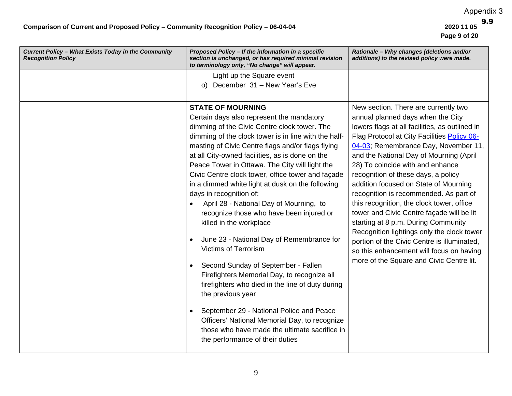| Current Policy - What Exists Today in the Community<br><b>Recognition Policy</b> | Proposed Policy - If the information in a specific<br>section is unchanged, or has required minimal revision<br>to terminology only, "No change" will appear.                                                                                                                                                                                                                                                                                                                                                                                                                                                                                                                                                                                                                                                                                                                                                                                                                                                    | Rationale - Why changes (deletions and/or<br>additions) to the revised policy were made.                                                                                                                                                                                                                                                                                                                                                                                                                                                                                                                                                                                                                                                          |
|----------------------------------------------------------------------------------|------------------------------------------------------------------------------------------------------------------------------------------------------------------------------------------------------------------------------------------------------------------------------------------------------------------------------------------------------------------------------------------------------------------------------------------------------------------------------------------------------------------------------------------------------------------------------------------------------------------------------------------------------------------------------------------------------------------------------------------------------------------------------------------------------------------------------------------------------------------------------------------------------------------------------------------------------------------------------------------------------------------|---------------------------------------------------------------------------------------------------------------------------------------------------------------------------------------------------------------------------------------------------------------------------------------------------------------------------------------------------------------------------------------------------------------------------------------------------------------------------------------------------------------------------------------------------------------------------------------------------------------------------------------------------------------------------------------------------------------------------------------------------|
|                                                                                  | Light up the Square event                                                                                                                                                                                                                                                                                                                                                                                                                                                                                                                                                                                                                                                                                                                                                                                                                                                                                                                                                                                        |                                                                                                                                                                                                                                                                                                                                                                                                                                                                                                                                                                                                                                                                                                                                                   |
|                                                                                  | o) December 31 - New Year's Eve                                                                                                                                                                                                                                                                                                                                                                                                                                                                                                                                                                                                                                                                                                                                                                                                                                                                                                                                                                                  |                                                                                                                                                                                                                                                                                                                                                                                                                                                                                                                                                                                                                                                                                                                                                   |
|                                                                                  | <b>STATE OF MOURNING</b><br>Certain days also represent the mandatory<br>dimming of the Civic Centre clock tower. The<br>dimming of the clock tower is in line with the half-<br>masting of Civic Centre flags and/or flags flying<br>at all City-owned facilities, as is done on the<br>Peace Tower in Ottawa. The City will light the<br>Civic Centre clock tower, office tower and façade<br>in a dimmed white light at dusk on the following<br>days in recognition of:<br>April 28 - National Day of Mourning, to<br>recognize those who have been injured or<br>killed in the workplace<br>June 23 - National Day of Remembrance for<br>$\bullet$<br><b>Victims of Terrorism</b><br>Second Sunday of September - Fallen<br>$\bullet$<br>Firefighters Memorial Day, to recognize all<br>firefighters who died in the line of duty during<br>the previous year<br>September 29 - National Police and Peace<br>Officers' National Memorial Day, to recognize<br>those who have made the ultimate sacrifice in | New section. There are currently two<br>annual planned days when the City<br>lowers flags at all facilities, as outlined in<br>Flag Protocol at City Facilities Policy 06-<br>04-03; Remembrance Day, November 11,<br>and the National Day of Mourning (April<br>28) To coincide with and enhance<br>recognition of these days, a policy<br>addition focused on State of Mourning<br>recognition is recommended. As part of<br>this recognition, the clock tower, office<br>tower and Civic Centre façade will be lit<br>starting at 8 p.m. During Community<br>Recognition lightings only the clock tower<br>portion of the Civic Centre is illuminated,<br>so this enhancement will focus on having<br>more of the Square and Civic Centre lit. |
|                                                                                  | the performance of their duties                                                                                                                                                                                                                                                                                                                                                                                                                                                                                                                                                                                                                                                                                                                                                                                                                                                                                                                                                                                  |                                                                                                                                                                                                                                                                                                                                                                                                                                                                                                                                                                                                                                                                                                                                                   |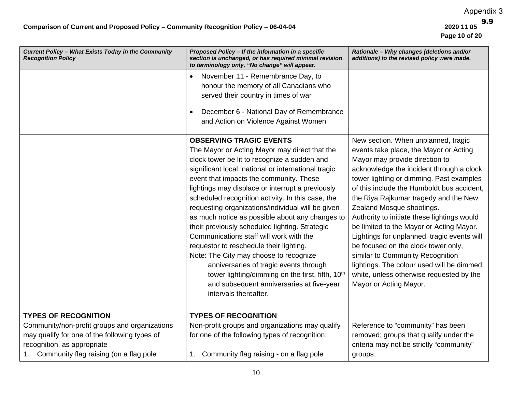| Current Policy - What Exists Today in the Community<br><b>Recognition Policy</b>                                                                                        | Proposed Policy - If the information in a specific<br>section is unchanged, or has required minimal revision<br>to terminology only, "No change" will appear.                                                                                                                                                                                                                                                                                                                                                                                                                                                                                                                                                                                                                                                        | Rationale - Why changes (deletions and/or<br>additions) to the revised policy were made.                                                                                                                                                                                                                                                                                                                                                                                                                                                                                                                                                                            |
|-------------------------------------------------------------------------------------------------------------------------------------------------------------------------|----------------------------------------------------------------------------------------------------------------------------------------------------------------------------------------------------------------------------------------------------------------------------------------------------------------------------------------------------------------------------------------------------------------------------------------------------------------------------------------------------------------------------------------------------------------------------------------------------------------------------------------------------------------------------------------------------------------------------------------------------------------------------------------------------------------------|---------------------------------------------------------------------------------------------------------------------------------------------------------------------------------------------------------------------------------------------------------------------------------------------------------------------------------------------------------------------------------------------------------------------------------------------------------------------------------------------------------------------------------------------------------------------------------------------------------------------------------------------------------------------|
|                                                                                                                                                                         | November 11 - Remembrance Day, to<br>honour the memory of all Canadians who<br>served their country in times of war<br>December 6 - National Day of Remembrance<br>and Action on Violence Against Women                                                                                                                                                                                                                                                                                                                                                                                                                                                                                                                                                                                                              |                                                                                                                                                                                                                                                                                                                                                                                                                                                                                                                                                                                                                                                                     |
|                                                                                                                                                                         | <b>OBSERVING TRAGIC EVENTS</b><br>The Mayor or Acting Mayor may direct that the<br>clock tower be lit to recognize a sudden and<br>significant local, national or international tragic<br>event that impacts the community. These<br>lightings may displace or interrupt a previously<br>scheduled recognition activity. In this case, the<br>requesting organizations/individual will be given<br>as much notice as possible about any changes to<br>their previously scheduled lighting. Strategic<br>Communications staff will work with the<br>requestor to reschedule their lighting.<br>Note: The City may choose to recognize<br>anniversaries of tragic events through<br>tower lighting/dimming on the first, fifth, 10 <sup>th</sup><br>and subsequent anniversaries at five-year<br>intervals thereafter. | New section. When unplanned, tragic<br>events take place, the Mayor or Acting<br>Mayor may provide direction to<br>acknowledge the incident through a clock<br>tower lighting or dimming. Past examples<br>of this include the Humboldt bus accident,<br>the Riya Rajkumar tragedy and the New<br>Zealand Mosque shootings.<br>Authority to initiate these lightings would<br>be limited to the Mayor or Acting Mayor.<br>Lightings for unplanned, tragic events will<br>be focused on the clock tower only,<br>similar to Community Recognition<br>lightings. The colour used will be dimmed<br>white, unless otherwise requested by the<br>Mayor or Acting Mayor. |
| <b>TYPES OF RECOGNITION</b>                                                                                                                                             | <b>TYPES OF RECOGNITION</b>                                                                                                                                                                                                                                                                                                                                                                                                                                                                                                                                                                                                                                                                                                                                                                                          |                                                                                                                                                                                                                                                                                                                                                                                                                                                                                                                                                                                                                                                                     |
| Community/non-profit groups and organizations<br>may qualify for one of the following types of<br>recognition, as appropriate<br>Community flag raising (on a flag pole | Non-profit groups and organizations may qualify<br>for one of the following types of recognition:<br>1. Community flag raising - on a flag pole                                                                                                                                                                                                                                                                                                                                                                                                                                                                                                                                                                                                                                                                      | Reference to "community" has been<br>removed; groups that qualify under the<br>criteria may not be strictly "community"<br>groups.                                                                                                                                                                                                                                                                                                                                                                                                                                                                                                                                  |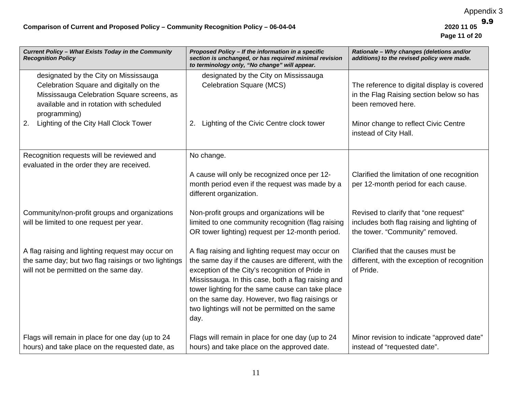| Current Policy - What Exists Today in the Community<br><b>Recognition Policy</b>                                                                                                                                                          | Proposed Policy - If the information in a specific<br>section is unchanged, or has required minimal revision<br>to terminology only, "No change" will appear.                                                                                                                                                                                                                    | Rationale - Why changes (deletions and/or<br>additions) to the revised policy were made.                                                              |
|-------------------------------------------------------------------------------------------------------------------------------------------------------------------------------------------------------------------------------------------|----------------------------------------------------------------------------------------------------------------------------------------------------------------------------------------------------------------------------------------------------------------------------------------------------------------------------------------------------------------------------------|-------------------------------------------------------------------------------------------------------------------------------------------------------|
| designated by the City on Mississauga<br>Celebration Square and digitally on the<br>Mississauga Celebration Square screens, as<br>available and in rotation with scheduled<br>programming)<br>Lighting of the City Hall Clock Tower<br>2. | designated by the City on Mississauga<br><b>Celebration Square (MCS)</b><br>Lighting of the Civic Centre clock tower<br>2.                                                                                                                                                                                                                                                       | The reference to digital display is covered<br>in the Flag Raising section below so has<br>been removed here.<br>Minor change to reflect Civic Centre |
| Recognition requests will be reviewed and                                                                                                                                                                                                 | No change.                                                                                                                                                                                                                                                                                                                                                                       | instead of City Hall.                                                                                                                                 |
| evaluated in the order they are received.                                                                                                                                                                                                 | A cause will only be recognized once per 12-<br>month period even if the request was made by a<br>different organization.                                                                                                                                                                                                                                                        | Clarified the limitation of one recognition<br>per 12-month period for each cause.                                                                    |
| Community/non-profit groups and organizations<br>will be limited to one request per year.                                                                                                                                                 | Non-profit groups and organizations will be<br>limited to one community recognition (flag raising<br>OR tower lighting) request per 12-month period.                                                                                                                                                                                                                             | Revised to clarify that "one request"<br>includes both flag raising and lighting of<br>the tower. "Community" removed.                                |
| A flag raising and lighting request may occur on<br>the same day; but two flag raisings or two lightings<br>will not be permitted on the same day.                                                                                        | A flag raising and lighting request may occur on<br>the same day if the causes are different, with the<br>exception of the City's recognition of Pride in<br>Mississauga. In this case, both a flag raising and<br>tower lighting for the same cause can take place<br>on the same day. However, two flag raisings or<br>two lightings will not be permitted on the same<br>day. | Clarified that the causes must be<br>different, with the exception of recognition<br>of Pride.                                                        |
| Flags will remain in place for one day (up to 24<br>hours) and take place on the requested date, as                                                                                                                                       | Flags will remain in place for one day (up to 24<br>hours) and take place on the approved date.                                                                                                                                                                                                                                                                                  | Minor revision to indicate "approved date"<br>instead of "requested date".                                                                            |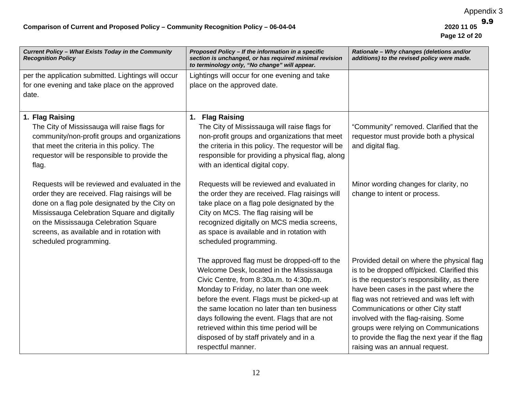| Current Policy - What Exists Today in the Community<br><b>Recognition Policy</b> | Proposed Policy - If the information in a specific<br>section is unchanged, or has required minimal revision<br>to terminology only, "No change" will appear. | Rationale - Why changes (deletions and/or<br>additions) to the revised policy were made. |
|----------------------------------------------------------------------------------|---------------------------------------------------------------------------------------------------------------------------------------------------------------|------------------------------------------------------------------------------------------|
| per the application submitted. Lightings will occur                              | Lightings will occur for one evening and take                                                                                                                 |                                                                                          |
| for one evening and take place on the approved                                   | place on the approved date.                                                                                                                                   |                                                                                          |
| date.                                                                            |                                                                                                                                                               |                                                                                          |
| 1. Flag Raising                                                                  | 1. Flag Raising                                                                                                                                               |                                                                                          |
| The City of Mississauga will raise flags for                                     | The City of Mississauga will raise flags for                                                                                                                  | "Community" removed. Clarified that the                                                  |
| community/non-profit groups and organizations                                    | non-profit groups and organizations that meet                                                                                                                 | requestor must provide both a physical                                                   |
| that meet the criteria in this policy. The                                       | the criteria in this policy. The requestor will be                                                                                                            | and digital flag.                                                                        |
| requestor will be responsible to provide the                                     | responsible for providing a physical flag, along                                                                                                              |                                                                                          |
| flag.                                                                            | with an identical digital copy.                                                                                                                               |                                                                                          |
| Requests will be reviewed and evaluated in the                                   | Requests will be reviewed and evaluated in                                                                                                                    | Minor wording changes for clarity, no                                                    |
| order they are received. Flag raisings will be                                   | the order they are received. Flag raisings will                                                                                                               | change to intent or process.                                                             |
| done on a flag pole designated by the City on                                    | take place on a flag pole designated by the                                                                                                                   |                                                                                          |
| Mississauga Celebration Square and digitally                                     | City on MCS. The flag raising will be                                                                                                                         |                                                                                          |
| on the Mississauga Celebration Square                                            | recognized digitally on MCS media screens,                                                                                                                    |                                                                                          |
| screens, as available and in rotation with                                       | as space is available and in rotation with                                                                                                                    |                                                                                          |
| scheduled programming.                                                           | scheduled programming.                                                                                                                                        |                                                                                          |
|                                                                                  | The approved flag must be dropped-off to the                                                                                                                  | Provided detail on where the physical flag                                               |
|                                                                                  | Welcome Desk, located in the Mississauga                                                                                                                      | is to be dropped off/picked. Clarified this                                              |
|                                                                                  | Civic Centre, from 8:30a.m. to 4:30p.m.                                                                                                                       | is the requestor's responsibility, as there                                              |
|                                                                                  | Monday to Friday, no later than one week                                                                                                                      | have been cases in the past where the                                                    |
|                                                                                  | before the event. Flags must be picked-up at                                                                                                                  | flag was not retrieved and was left with                                                 |
|                                                                                  | the same location no later than ten business                                                                                                                  | Communications or other City staff                                                       |
|                                                                                  | days following the event. Flags that are not                                                                                                                  | involved with the flag-raising. Some                                                     |
|                                                                                  | retrieved within this time period will be                                                                                                                     | groups were relying on Communications                                                    |
|                                                                                  | disposed of by staff privately and in a                                                                                                                       | to provide the flag the next year if the flag                                            |
|                                                                                  | respectful manner.                                                                                                                                            | raising was an annual request.                                                           |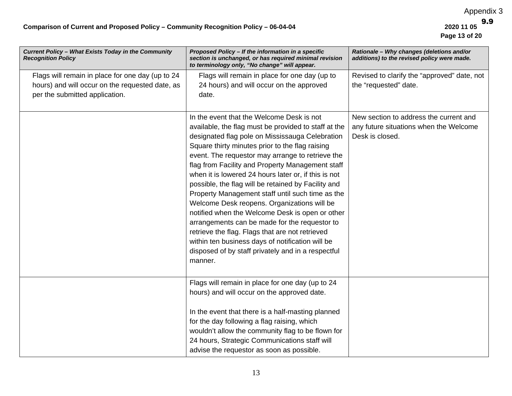| Current Policy - What Exists Today in the Community<br><b>Recognition Policy</b> | Proposed Policy - If the information in a specific<br>section is unchanged, or has required minimal revision<br>to terminology only, "No change" will appear. | Rationale - Why changes (deletions and/or<br>additions) to the revised policy were made. |
|----------------------------------------------------------------------------------|---------------------------------------------------------------------------------------------------------------------------------------------------------------|------------------------------------------------------------------------------------------|
| Flags will remain in place for one day (up to 24                                 | Flags will remain in place for one day (up to                                                                                                                 | Revised to clarify the "approved" date, not                                              |
| hours) and will occur on the requested date, as                                  | 24 hours) and will occur on the approved                                                                                                                      | the "requested" date.                                                                    |
| per the submitted application.                                                   | date.                                                                                                                                                         |                                                                                          |
|                                                                                  |                                                                                                                                                               |                                                                                          |
|                                                                                  | In the event that the Welcome Desk is not                                                                                                                     | New section to address the current and                                                   |
|                                                                                  | available, the flag must be provided to staff at the                                                                                                          | any future situations when the Welcome                                                   |
|                                                                                  | designated flag pole on Mississauga Celebration                                                                                                               | Desk is closed.                                                                          |
|                                                                                  | Square thirty minutes prior to the flag raising                                                                                                               |                                                                                          |
|                                                                                  | event. The requestor may arrange to retrieve the                                                                                                              |                                                                                          |
|                                                                                  | flag from Facility and Property Management staff                                                                                                              |                                                                                          |
|                                                                                  | when it is lowered 24 hours later or, if this is not                                                                                                          |                                                                                          |
|                                                                                  | possible, the flag will be retained by Facility and                                                                                                           |                                                                                          |
|                                                                                  | Property Management staff until such time as the                                                                                                              |                                                                                          |
|                                                                                  | Welcome Desk reopens. Organizations will be                                                                                                                   |                                                                                          |
|                                                                                  | notified when the Welcome Desk is open or other                                                                                                               |                                                                                          |
|                                                                                  | arrangements can be made for the requestor to                                                                                                                 |                                                                                          |
|                                                                                  | retrieve the flag. Flags that are not retrieved                                                                                                               |                                                                                          |
|                                                                                  | within ten business days of notification will be                                                                                                              |                                                                                          |
|                                                                                  | disposed of by staff privately and in a respectful                                                                                                            |                                                                                          |
|                                                                                  | manner.                                                                                                                                                       |                                                                                          |
|                                                                                  |                                                                                                                                                               |                                                                                          |
|                                                                                  | Flags will remain in place for one day (up to 24                                                                                                              |                                                                                          |
|                                                                                  | hours) and will occur on the approved date.                                                                                                                   |                                                                                          |
|                                                                                  |                                                                                                                                                               |                                                                                          |
|                                                                                  | In the event that there is a half-masting planned                                                                                                             |                                                                                          |
|                                                                                  | for the day following a flag raising, which                                                                                                                   |                                                                                          |
|                                                                                  | wouldn't allow the community flag to be flown for                                                                                                             |                                                                                          |
|                                                                                  | 24 hours, Strategic Communications staff will                                                                                                                 |                                                                                          |
|                                                                                  | advise the requestor as soon as possible.                                                                                                                     |                                                                                          |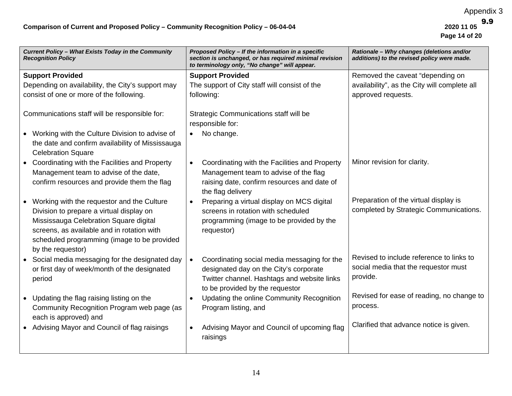| Current Policy - What Exists Today in the Community<br><b>Recognition Policy</b> | Proposed Policy - If the information in a specific<br>section is unchanged, or has required minimal revision<br>to terminology only, "No change" will appear. | Rationale - Why changes (deletions and/or<br>additions) to the revised policy were made. |
|----------------------------------------------------------------------------------|---------------------------------------------------------------------------------------------------------------------------------------------------------------|------------------------------------------------------------------------------------------|
| <b>Support Provided</b>                                                          | <b>Support Provided</b>                                                                                                                                       | Removed the caveat "depending on                                                         |
| Depending on availability, the City's support may                                | The support of City staff will consist of the                                                                                                                 | availability", as the City will complete all                                             |
| consist of one or more of the following.                                         | following:                                                                                                                                                    | approved requests.                                                                       |
| Communications staff will be responsible for:                                    | Strategic Communications staff will be                                                                                                                        |                                                                                          |
|                                                                                  | responsible for:                                                                                                                                              |                                                                                          |
| • Working with the Culture Division to advise of                                 | No change.                                                                                                                                                    |                                                                                          |
| the date and confirm availability of Mississauga<br><b>Celebration Square</b>    |                                                                                                                                                               |                                                                                          |
| • Coordinating with the Facilities and Property                                  | Coordinating with the Facilities and Property<br>$\bullet$                                                                                                    | Minor revision for clarity.                                                              |
| Management team to advise of the date,                                           | Management team to advise of the flag                                                                                                                         |                                                                                          |
| confirm resources and provide them the flag                                      | raising date, confirm resources and date of<br>the flag delivery                                                                                              |                                                                                          |
| • Working with the requestor and the Culture                                     | Preparing a virtual display on MCS digital                                                                                                                    | Preparation of the virtual display is                                                    |
| Division to prepare a virtual display on                                         | screens in rotation with scheduled                                                                                                                            | completed by Strategic Communications.                                                   |
| Mississauga Celebration Square digital                                           | programming (image to be provided by the                                                                                                                      |                                                                                          |
| screens, as available and in rotation with                                       | requestor)                                                                                                                                                    |                                                                                          |
| scheduled programming (image to be provided<br>by the requestor)                 |                                                                                                                                                               |                                                                                          |
| • Social media messaging for the designated day                                  | Coordinating social media messaging for the<br>$\bullet$                                                                                                      | Revised to include reference to links to                                                 |
| or first day of week/month of the designated                                     | designated day on the City's corporate                                                                                                                        | social media that the requestor must                                                     |
| period                                                                           | Twitter channel. Hashtags and website links                                                                                                                   | provide.                                                                                 |
|                                                                                  | to be provided by the requestor                                                                                                                               |                                                                                          |
| • Updating the flag raising listing on the                                       | Updating the online Community Recognition                                                                                                                     | Revised for ease of reading, no change to                                                |
| Community Recognition Program web page (as                                       | Program listing, and                                                                                                                                          | process.                                                                                 |
| each is approved) and                                                            |                                                                                                                                                               | Clarified that advance notice is given.                                                  |
| • Advising Mayor and Council of flag raisings                                    | Advising Mayor and Council of upcoming flag<br>$\bullet$<br>raisings                                                                                          |                                                                                          |
|                                                                                  |                                                                                                                                                               |                                                                                          |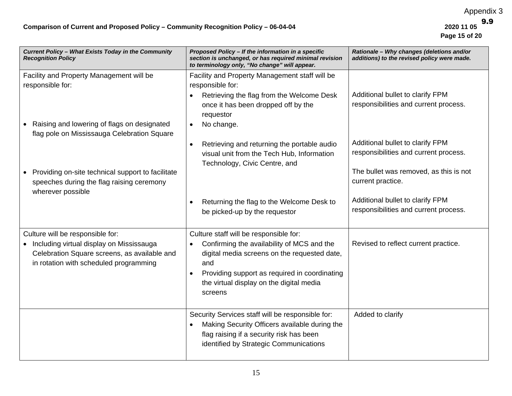| Current Policy - What Exists Today in the Community<br><b>Recognition Policy</b>                                                                                         | Proposed Policy - If the information in a specific<br>section is unchanged, or has required minimal revision<br>to terminology only, "No change" will appear.                                                                                                    | Rationale - Why changes (deletions and/or<br>additions) to the revised policy were made. |
|--------------------------------------------------------------------------------------------------------------------------------------------------------------------------|------------------------------------------------------------------------------------------------------------------------------------------------------------------------------------------------------------------------------------------------------------------|------------------------------------------------------------------------------------------|
| Facility and Property Management will be<br>responsible for:                                                                                                             | Facility and Property Management staff will be<br>responsible for:<br>Retrieving the flag from the Welcome Desk<br>$\bullet$                                                                                                                                     | Additional bullet to clarify FPM                                                         |
| • Raising and lowering of flags on designated                                                                                                                            | once it has been dropped off by the<br>requestor<br>No change.                                                                                                                                                                                                   | responsibilities and current process.                                                    |
| flag pole on Mississauga Celebration Square                                                                                                                              | Retrieving and returning the portable audio<br>$\bullet$<br>visual unit from the Tech Hub, Information<br>Technology, Civic Centre, and                                                                                                                          | Additional bullet to clarify FPM<br>responsibilities and current process.                |
| • Providing on-site technical support to facilitate<br>speeches during the flag raising ceremony<br>wherever possible                                                    |                                                                                                                                                                                                                                                                  | The bullet was removed, as this is not<br>current practice.                              |
|                                                                                                                                                                          | Returning the flag to the Welcome Desk to<br>be picked-up by the requestor                                                                                                                                                                                       | Additional bullet to clarify FPM<br>responsibilities and current process.                |
| Culture will be responsible for:<br>• Including virtual display on Mississauga<br>Celebration Square screens, as available and<br>in rotation with scheduled programming | Culture staff will be responsible for:<br>Confirming the availability of MCS and the<br>$\bullet$<br>digital media screens on the requested date,<br>and<br>Providing support as required in coordinating<br>the virtual display on the digital media<br>screens | Revised to reflect current practice.                                                     |
|                                                                                                                                                                          | Security Services staff will be responsible for:<br>Making Security Officers available during the<br>flag raising if a security risk has been<br>identified by Strategic Communications                                                                          | Added to clarify                                                                         |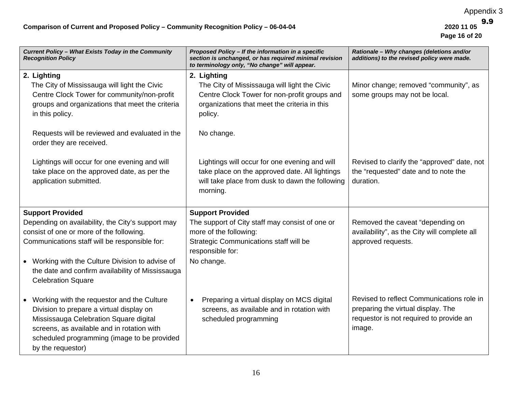| Current Policy - What Exists Today in the Community<br><b>Recognition Policy</b>                                                                                                                                                                     | Proposed Policy - If the information in a specific<br>section is unchanged, or has required minimal revision<br>to terminology only, "No change" will appear.          | Rationale - Why changes (deletions and/or<br>additions) to the revised policy were made.                                             |
|------------------------------------------------------------------------------------------------------------------------------------------------------------------------------------------------------------------------------------------------------|------------------------------------------------------------------------------------------------------------------------------------------------------------------------|--------------------------------------------------------------------------------------------------------------------------------------|
| 2. Lighting<br>The City of Mississauga will light the Civic<br>Centre Clock Tower for community/non-profit<br>groups and organizations that meet the criteria<br>in this policy.                                                                     | 2. Lighting<br>The City of Mississauga will light the Civic<br>Centre Clock Tower for non-profit groups and<br>organizations that meet the criteria in this<br>policy. | Minor change; removed "community", as<br>some groups may not be local.                                                               |
| Requests will be reviewed and evaluated in the<br>order they are received.                                                                                                                                                                           | No change.                                                                                                                                                             |                                                                                                                                      |
| Lightings will occur for one evening and will<br>take place on the approved date, as per the<br>application submitted.                                                                                                                               | Lightings will occur for one evening and will<br>take place on the approved date. All lightings<br>will take place from dusk to dawn the following<br>morning.         | Revised to clarify the "approved" date, not<br>the "requested" date and to note the<br>duration.                                     |
| <b>Support Provided</b>                                                                                                                                                                                                                              | <b>Support Provided</b>                                                                                                                                                |                                                                                                                                      |
| Depending on availability, the City's support may<br>consist of one or more of the following.<br>Communications staff will be responsible for:                                                                                                       | The support of City staff may consist of one or<br>more of the following:<br>Strategic Communications staff will be<br>responsible for:                                | Removed the caveat "depending on<br>availability", as the City will complete all<br>approved requests.                               |
| • Working with the Culture Division to advise of<br>the date and confirm availability of Mississauga<br><b>Celebration Square</b>                                                                                                                    | No change.                                                                                                                                                             |                                                                                                                                      |
| • Working with the requestor and the Culture<br>Division to prepare a virtual display on<br>Mississauga Celebration Square digital<br>screens, as available and in rotation with<br>scheduled programming (image to be provided<br>by the requestor) | Preparing a virtual display on MCS digital<br>$\bullet$<br>screens, as available and in rotation with<br>scheduled programming                                         | Revised to reflect Communications role in<br>preparing the virtual display. The<br>requestor is not required to provide an<br>image. |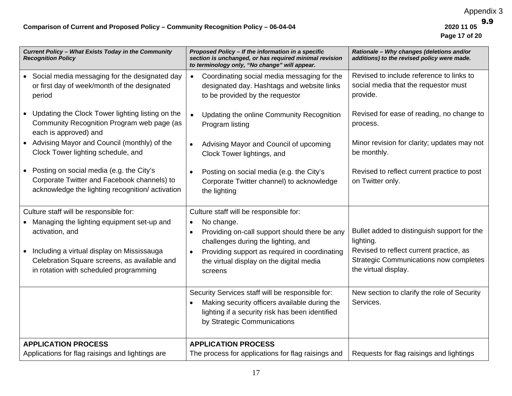| Current Policy - What Exists Today in the Community<br><b>Recognition Policy</b>                                                           | Proposed Policy - If the information in a specific<br>section is unchanged, or has required minimal revision<br>to terminology only, "No change" will appear.                       | Rationale - Why changes (deletions and/or<br>additions) to the revised policy were made.                         |
|--------------------------------------------------------------------------------------------------------------------------------------------|-------------------------------------------------------------------------------------------------------------------------------------------------------------------------------------|------------------------------------------------------------------------------------------------------------------|
| • Social media messaging for the designated day<br>or first day of week/month of the designated<br>period                                  | Coordinating social media messaging for the<br>$\bullet$<br>designated day. Hashtags and website links<br>to be provided by the requestor                                           | Revised to include reference to links to<br>social media that the requestor must<br>provide.                     |
| Updating the Clock Tower lighting listing on the<br>Community Recognition Program web page (as<br>each is approved) and                    | Updating the online Community Recognition<br>$\bullet$<br>Program listing                                                                                                           | Revised for ease of reading, no change to<br>process.                                                            |
| • Advising Mayor and Council (monthly) of the<br>Clock Tower lighting schedule, and                                                        | Advising Mayor and Council of upcoming<br>$\bullet$<br>Clock Tower lightings, and                                                                                                   | Minor revision for clarity; updates may not<br>be monthly.                                                       |
| Posting on social media (e.g. the City's<br>Corporate Twitter and Facebook channels) to<br>acknowledge the lighting recognition/activation | Posting on social media (e.g. the City's<br>$\bullet$<br>Corporate Twitter channel) to acknowledge<br>the lighting                                                                  | Revised to reflect current practice to post<br>on Twitter only.                                                  |
| Culture staff will be responsible for:                                                                                                     | Culture staff will be responsible for:                                                                                                                                              |                                                                                                                  |
| Managing the lighting equipment set-up and<br>activation, and                                                                              | No change.<br>$\bullet$<br>Providing on-call support should there be any<br>$\bullet$<br>challenges during the lighting, and                                                        | Bullet added to distinguish support for the<br>lighting.                                                         |
| Including a virtual display on Mississauga<br>Celebration Square screens, as available and<br>in rotation with scheduled programming       | Providing support as required in coordinating<br>the virtual display on the digital media<br>screens                                                                                | Revised to reflect current practice, as<br><b>Strategic Communications now completes</b><br>the virtual display. |
|                                                                                                                                            | Security Services staff will be responsible for:<br>Making security officers available during the<br>lighting if a security risk has been identified<br>by Strategic Communications | New section to clarify the role of Security<br>Services.                                                         |
| <b>APPLICATION PROCESS</b>                                                                                                                 | <b>APPLICATION PROCESS</b>                                                                                                                                                          |                                                                                                                  |
| Applications for flag raisings and lightings are                                                                                           | The process for applications for flag raisings and                                                                                                                                  | Requests for flag raisings and lightings                                                                         |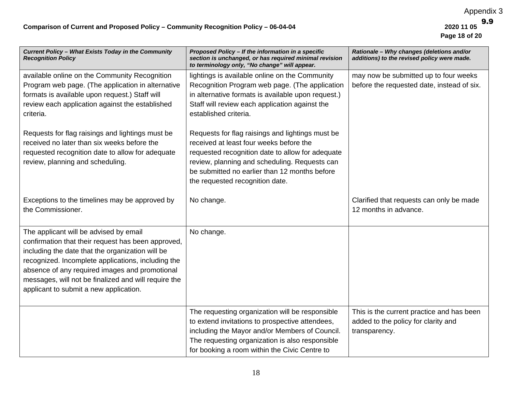| Current Policy - What Exists Today in the Community<br><b>Recognition Policy</b>                                                                                                                                                                                                                                                                                                                                | Proposed Policy - If the information in a specific<br>section is unchanged, or has required minimal revision<br>to terminology only, "No change" will appear.                                                                                                                                                                                                                                                                                                                                                             | Rationale - Why changes (deletions and/or<br>additions) to the revised policy were made.          |
|-----------------------------------------------------------------------------------------------------------------------------------------------------------------------------------------------------------------------------------------------------------------------------------------------------------------------------------------------------------------------------------------------------------------|---------------------------------------------------------------------------------------------------------------------------------------------------------------------------------------------------------------------------------------------------------------------------------------------------------------------------------------------------------------------------------------------------------------------------------------------------------------------------------------------------------------------------|---------------------------------------------------------------------------------------------------|
| available online on the Community Recognition<br>Program web page. (The application in alternative<br>formats is available upon request.) Staff will<br>review each application against the established<br>criteria.<br>Requests for flag raisings and lightings must be<br>received no later than six weeks before the<br>requested recognition date to allow for adequate<br>review, planning and scheduling. | lightings is available online on the Community<br>Recognition Program web page. (The application<br>in alternative formats is available upon request.)<br>Staff will review each application against the<br>established criteria.<br>Requests for flag raisings and lightings must be<br>received at least four weeks before the<br>requested recognition date to allow for adequate<br>review, planning and scheduling. Requests can<br>be submitted no earlier than 12 months before<br>the requested recognition date. | may now be submitted up to four weeks<br>before the requested date, instead of six.               |
| Exceptions to the timelines may be approved by<br>the Commissioner.                                                                                                                                                                                                                                                                                                                                             | No change.                                                                                                                                                                                                                                                                                                                                                                                                                                                                                                                | Clarified that requests can only be made<br>12 months in advance.                                 |
| The applicant will be advised by email<br>confirmation that their request has been approved,<br>including the date that the organization will be<br>recognized. Incomplete applications, including the<br>absence of any required images and promotional<br>messages, will not be finalized and will require the<br>applicant to submit a new application.                                                      | No change.                                                                                                                                                                                                                                                                                                                                                                                                                                                                                                                |                                                                                                   |
|                                                                                                                                                                                                                                                                                                                                                                                                                 | The requesting organization will be responsible<br>to extend invitations to prospective attendees,<br>including the Mayor and/or Members of Council.<br>The requesting organization is also responsible<br>for booking a room within the Civic Centre to                                                                                                                                                                                                                                                                  | This is the current practice and has been<br>added to the policy for clarity and<br>transparency. |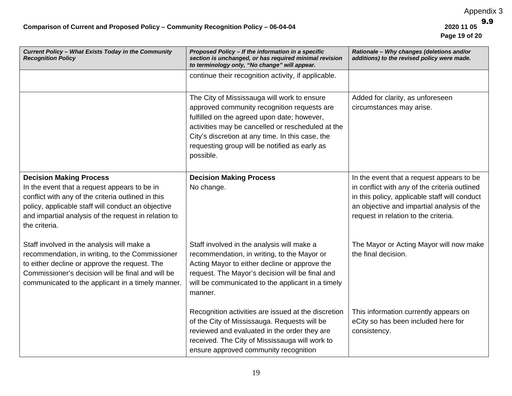| Current Policy - What Exists Today in the Community<br><b>Recognition Policy</b>                                                                                                                                                                                    | Proposed Policy - If the information in a specific<br>section is unchanged, or has required minimal revision<br>to terminology only, "No change" will appear.                                                                                                                                                    | Rationale - Why changes (deletions and/or<br>additions) to the revised policy were made.                                                                                                                                          |
|---------------------------------------------------------------------------------------------------------------------------------------------------------------------------------------------------------------------------------------------------------------------|------------------------------------------------------------------------------------------------------------------------------------------------------------------------------------------------------------------------------------------------------------------------------------------------------------------|-----------------------------------------------------------------------------------------------------------------------------------------------------------------------------------------------------------------------------------|
|                                                                                                                                                                                                                                                                     | continue their recognition activity, if applicable.                                                                                                                                                                                                                                                              |                                                                                                                                                                                                                                   |
|                                                                                                                                                                                                                                                                     | The City of Mississauga will work to ensure<br>approved community recognition requests are<br>fulfilled on the agreed upon date; however,<br>activities may be cancelled or rescheduled at the<br>City's discretion at any time. In this case, the<br>requesting group will be notified as early as<br>possible. | Added for clarity, as unforeseen<br>circumstances may arise.                                                                                                                                                                      |
| <b>Decision Making Process</b><br>In the event that a request appears to be in<br>conflict with any of the criteria outlined in this<br>policy, applicable staff will conduct an objective<br>and impartial analysis of the request in relation to<br>the criteria. | <b>Decision Making Process</b><br>No change.                                                                                                                                                                                                                                                                     | In the event that a request appears to be<br>in conflict with any of the criteria outlined<br>in this policy, applicable staff will conduct<br>an objective and impartial analysis of the<br>request in relation to the criteria. |
| Staff involved in the analysis will make a<br>recommendation, in writing, to the Commissioner<br>to either decline or approve the request. The<br>Commissioner's decision will be final and will be<br>communicated to the applicant in a timely manner.            | Staff involved in the analysis will make a<br>recommendation, in writing, to the Mayor or<br>Acting Mayor to either decline or approve the<br>request. The Mayor's decision will be final and<br>will be communicated to the applicant in a timely<br>manner.                                                    | The Mayor or Acting Mayor will now make<br>the final decision.                                                                                                                                                                    |
|                                                                                                                                                                                                                                                                     | Recognition activities are issued at the discretion<br>of the City of Mississauga. Requests will be<br>reviewed and evaluated in the order they are<br>received. The City of Mississauga will work to<br>ensure approved community recognition                                                                   | This information currently appears on<br>eCity so has been included here for<br>consistency.                                                                                                                                      |